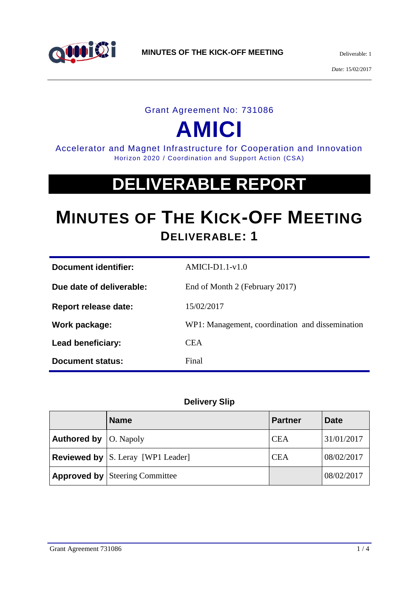

#### Grant Agreement No: 731086

# **AMICI**

Accelerator and Magnet Infrastructure for Cooperation and Innovation Horizon 2020 / Coordination and Support Action (CSA)

# **DELIVERABLE REPORT**

# **MINUTES OF THE KICK-OFF MEETING DELIVERABLE: 1**

| Document identifier:        | $AMICI-D1.1-v1.0$                               |
|-----------------------------|-------------------------------------------------|
| Due date of deliverable:    | End of Month 2 (February 2017)                  |
| <b>Report release date:</b> | 15/02/2017                                      |
| Work package:               | WP1: Management, coordination and dissemination |
| Lead beneficiary:           | <b>CEA</b>                                      |
| <b>Document status:</b>     | Final                                           |

#### **Delivery Slip**

|                                      | <b>Name</b>                                  | <b>Partner</b> | <b>Date</b> |
|--------------------------------------|----------------------------------------------|----------------|-------------|
| <b>Authored by</b> $\vert$ O. Napoly |                                              | <b>CEA</b>     | 31/01/2017  |
|                                      | <b>Reviewed by</b> $ S$ . Leray [WP1 Leader] | <b>CEA</b>     | 08/02/2017  |
|                                      | <b>Approved by Steering Committee</b>        |                | 08/02/2017  |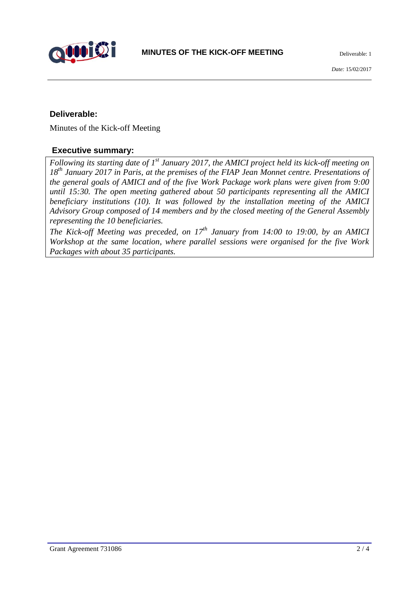

#### **Deliverable:**

Minutes of the Kick-off Meeting

#### **Executive summary:**

*Following its starting date of 1st January 2017, the AMICI project held its kick-off meeting on 18th January 2017 in Paris, at the premises of the FIAP Jean Monnet centre. Presentations of the general goals of AMICI and of the five Work Package work plans were given from 9:00 until 15:30. The open meeting gathered about 50 participants representing all the AMICI beneficiary institutions (10). It was followed by the installation meeting of the AMICI Advisory Group composed of 14 members and by the closed meeting of the General Assembly representing the 10 beneficiaries.*

*The Kick-off Meeting was preceded, on 17th January from 14:00 to 19:00, by an AMICI Workshop at the same location, where parallel sessions were organised for the five Work Packages with about 35 participants.*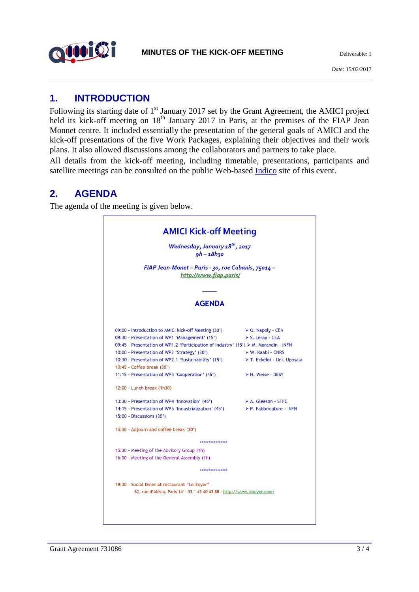

### **1. INTRODUCTION**

Following its starting date of 1<sup>st</sup> January 2017 set by the Grant Agreement, the AMICI project held its kick-off meeting on 18<sup>th</sup> January 2017 in Paris, at the premises of the FIAP Jean Monnet centre. It included essentially the presentation of the general goals of AMICI and the kick-off presentations of the five Work Packages, explaining their objectives and their work plans. It also allowed discussions among the collaborators and partners to take place.

All details from the kick-off meeting, including timetable, presentations, participants and satellite meetings can be consulted on the public Web-based [Indico](https://indico.cern.ch/event/595751/overview) site of this event.

# **2. AGENDA**

The agenda of the meeting is given below.